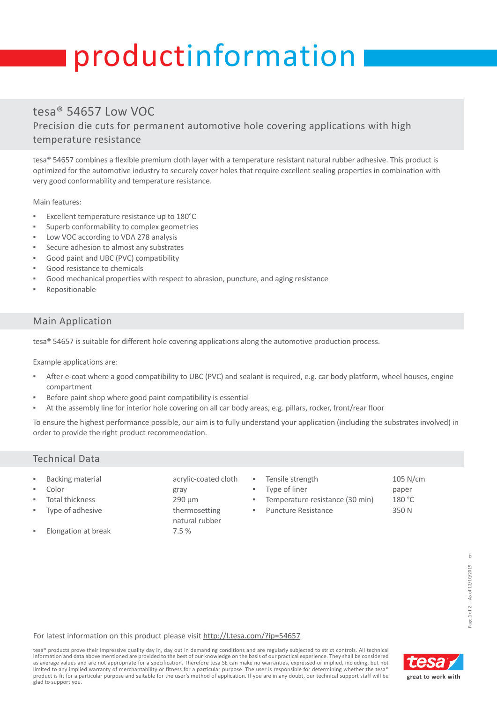# productinformation

## tesa® 54657 Low VOC

Precision die cuts for permanent automotive hole covering applications with high temperature resistance

tesa® 54657 combines a flexible premium cloth layer with a temperature resistant natural rubber adhesive. This product is optimized for the automotive industry to securely cover holes that require excellent sealing properties in combination with very good conformability and temperature resistance.

Main features:

- Excellent temperature resistance up to 180°C
- Superb conformability to complex geometries
- Low VOC according to VDA 278 analysis
- Secure adhesion to almost any substrates
- Good paint and UBC (PVC) compatibility
- Good resistance to chemicals
- Good mechanical properties with respect to abrasion, puncture, and aging resistance
- Repositionable

#### Main Application

tesa® 54657 is suitable for different hole covering applications along the automotive production process.

Example applications are:

- After e-coat where a good compatibility to UBC (PVC) and sealant is required, e.g. car body platform, wheel houses, engine compartment
- Before paint shop where good paint compatibility is essential
- At the assembly line for interior hole covering on all car body areas, e.g. pillars, rocker, front/rear floor

To ensure the highest performance possible, our aim is to fully understand your application (including the substrates involved) in order to provide the right product recommendation.

#### Technical Data

- Backing material acrylic-coated cloth
- Color gray
- Total thickness 290 µm
- Type of adhesive thermosetting
- Elongation at break 7.5 %
- 
- 
- 
- natural rubber
- 
- Tensile strength 105 N/cm Type of liner paper Temperature resistance (30 min) 180 °C Puncture Resistance 350 N

For latest information on this product please visit [http://l.tesa.com/?ip=54657](http://l.tesa.com/?ip=54657&utm_source=tesa_pi-sheet&utm_medium=referral&utm_content=00000&utm_campaign=Industry_Products)

tesa® products prove their impressive quality day in, day out in demanding conditions and are regularly subjected to strict controls. All technical information and data above mentioned are provided to the best of our knowledge on the basis of our practical experience. They shall be considered as average values and are not appropriate for a specification. Therefore tesa SE can make no warranties, expressed or implied, including, but not limited to any implied warranty of merchantability or fitness for a particular purpose. The user is responsible for determining whether the tesa product is fit for a particular purpose and suitable for the user's method of application. If you are in any doubt, our technical support staff will be glad to support you.